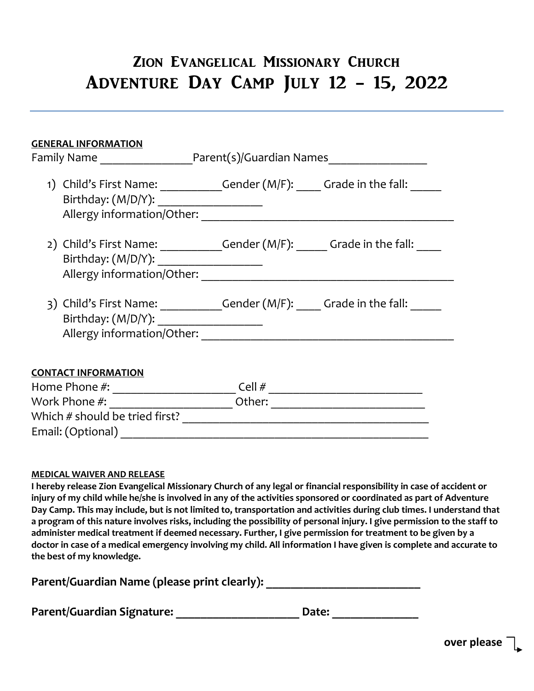# Zion Evangelical Missionary Church Adventure Day Camp July 12 - 15, 2022

| <b>GENERAL INFORMATION</b>                                                                                                     |        |  |
|--------------------------------------------------------------------------------------------------------------------------------|--------|--|
| 1) Child's First Name: ____________Gender (M/F): _____ Grade in the fall: ______<br>Birthday: (M/D/Y): _______________________ |        |  |
| 2) Child's First Name: _____________Gender (M/F): ______ Grade in the fall:<br>Allergy information/Other:                      |        |  |
| 3) Child's First Name: ____________Gender $(M/F):$ ______ Grade in the fall: ______<br>Birthday: (M/D/Y): ____________________ |        |  |
| <b>CONTACT INFORMATION</b>                                                                                                     |        |  |
|                                                                                                                                |        |  |
|                                                                                                                                | Other: |  |
| Which # should be tried first?                                                                                                 |        |  |
| Email: (Optional)                                                                                                              |        |  |

## **MEDICAL WAIVER AND RELEASE**

**I hereby release Zion Evangelical Missionary Church of any legal or financial responsibility in case of accident or injury of my child while he/she is involved in any of the activities sponsored or coordinated as part of Adventure Day Camp. This may include, but is not limited to, transportation and activities during club times. I understand that a program of this nature involves risks, including the possibility of personal injury. I give permission to the staff to administer medical treatment if deemed necessary. Further, I give permission for treatment to be given by a doctor in case of a medical emergency involving my child. All information I have given is complete and accurate to the best of my knowledge.** 

| Parent/Guardian Name (please print clearly): |  |  |
|----------------------------------------------|--|--|
|----------------------------------------------|--|--|

Parent/Guardian Signature: \_\_\_\_\_\_\_\_\_\_\_\_\_\_\_\_\_\_\_\_\_\_\_\_\_\_ Date: \_\_\_\_\_\_\_\_\_\_\_\_\_\_\_\_\_\_\_\_